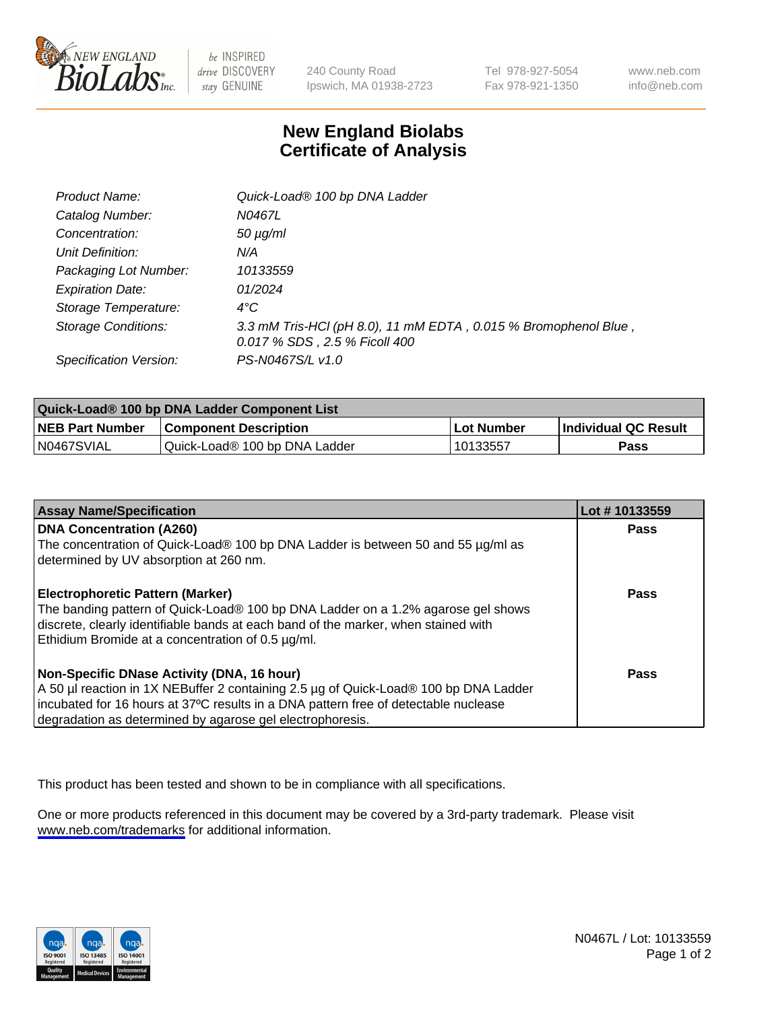

be INSPIRED drive DISCOVERY stay GENUINE

240 County Road Ipswich, MA 01938-2723 Tel 978-927-5054 Fax 978-921-1350

www.neb.com info@neb.com

## **New England Biolabs Certificate of Analysis**

| <b>Product Name:</b>       | Quick-Load® 100 bp DNA Ladder                                                                    |
|----------------------------|--------------------------------------------------------------------------------------------------|
| Catalog Number:            | N0467L                                                                                           |
| Concentration:             | $50 \mu g/ml$                                                                                    |
| Unit Definition:           | N/A                                                                                              |
| Packaging Lot Number:      | 10133559                                                                                         |
| <b>Expiration Date:</b>    | 01/2024                                                                                          |
| Storage Temperature:       | $4^{\circ}$ C                                                                                    |
| <b>Storage Conditions:</b> | 3.3 mM Tris-HCl (pH 8.0), 11 mM EDTA, 0.015 % Bromophenol Blue,<br>0.017 % SDS, 2.5 % Ficoll 400 |
| Specification Version:     | PS-N0467S/L v1.0                                                                                 |

| Quick-Load® 100 bp DNA Ladder Component List |                               |            |                             |  |
|----------------------------------------------|-------------------------------|------------|-----------------------------|--|
| <b>NEB Part Number</b>                       | <b>Component Description</b>  | Lot Number | <b>Individual QC Result</b> |  |
| N0467SVIAL                                   | Quick-Load® 100 bp DNA Ladder | 10133557   | Pass                        |  |

| <b>Assay Name/Specification</b>                                                                                                                                                                                                                                                        | Lot #10133559 |
|----------------------------------------------------------------------------------------------------------------------------------------------------------------------------------------------------------------------------------------------------------------------------------------|---------------|
| <b>DNA Concentration (A260)</b><br>The concentration of Quick-Load® 100 bp DNA Ladder is between 50 and 55 µg/ml as<br>determined by UV absorption at 260 nm.                                                                                                                          | <b>Pass</b>   |
| <b>Electrophoretic Pattern (Marker)</b><br>The banding pattern of Quick-Load® 100 bp DNA Ladder on a 1.2% agarose gel shows<br>discrete, clearly identifiable bands at each band of the marker, when stained with<br>Ethidium Bromide at a concentration of 0.5 µg/ml.                 | Pass          |
| Non-Specific DNase Activity (DNA, 16 hour)<br>A 50 µl reaction in 1X NEBuffer 2 containing 2.5 µg of Quick-Load® 100 bp DNA Ladder<br>incubated for 16 hours at 37°C results in a DNA pattern free of detectable nuclease<br>degradation as determined by agarose gel electrophoresis. | Pass          |

This product has been tested and shown to be in compliance with all specifications.

One or more products referenced in this document may be covered by a 3rd-party trademark. Please visit <www.neb.com/trademarks>for additional information.